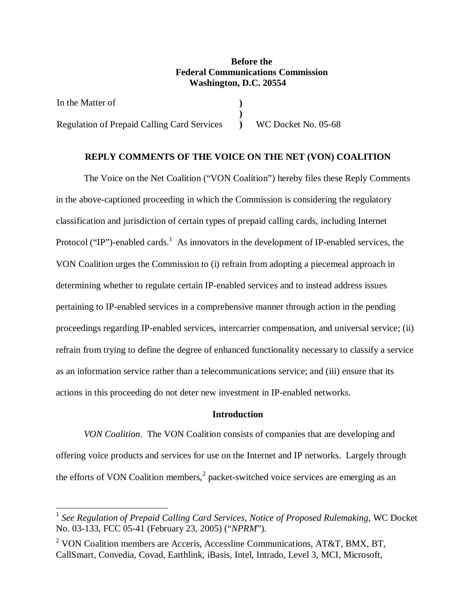# **Before the Federal Communications Commission Washington, D.C. 20554**

In the Matter of Regulation of Prepaid Calling Card Services **) )** 

**)** WC Docket No. 05-68

## **REPLY COMMENTS OF THE VOICE ON THE NET (VON) COALITION**

 The Voice on the Net Coalition ("VON Coalition") hereby files these Reply Comments in the above-captioned proceeding in which the Commission is considering the regulatory classification and jurisdiction of certain types of prepaid calling cards, including Internet Protocol ("IP")-enabled cards.<sup>1</sup> As innovators in the development of IP-enabled services, the VON Coalition urges the Commission to (i) refrain from adopting a piecemeal approach in determining whether to regulate certain IP-enabled services and to instead address issues pertaining to IP-enabled services in a comprehensive manner through action in the pending proceedings regarding IP-enabled services, intercarrier compensation, and universal service; (ii) refrain from trying to define the degree of enhanced functionality necessary to classify a service as an information service rather than a telecommunications service; and (iii) ensure that its actions in this proceeding do not deter new investment in IP-enabled networks.

### **Introduction**

*VON Coalition*. The VON Coalition consists of companies that are developing and offering voice products and services for use on the Internet and IP networks. Largely through the efforts of VON Coalition members,<sup>2</sup> packet-switched voice services are emerging as an

 $\overline{a}$ 

<sup>1</sup> *See Regulation of Prepaid Calling Card Services*, *Notice of Proposed Rulemaking*, WC Docket No. 03-133, FCC 05-41 (February 23, 2005) ("*NPRM*").

<sup>&</sup>lt;sup>2</sup> VON Coalition members are Acceris, Accessline Communications, AT&T, BMX, BT, CallSmart, Convedia, Covad, Earthlink, iBasis, Intel, Intrado, Level 3, MCI, Microsoft,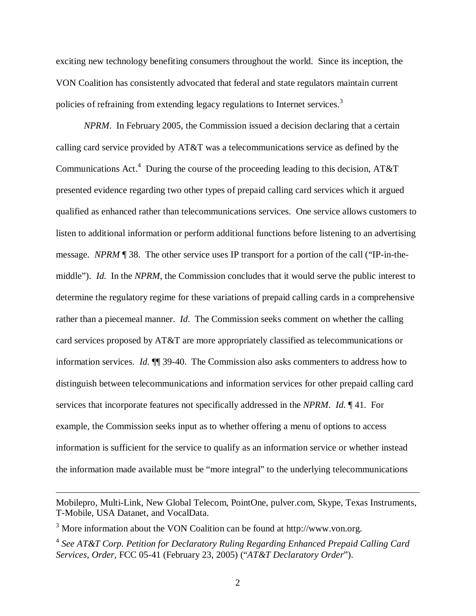exciting new technology benefiting consumers throughout the world. Since its inception, the VON Coalition has consistently advocated that federal and state regulators maintain current policies of refraining from extending legacy regulations to Internet services.<sup>3</sup>

*NPRM*. In February 2005, the Commission issued a decision declaring that a certain calling card service provided by AT&T was a telecommunications service as defined by the Communications Act.<sup>4</sup> During the course of the proceeding leading to this decision, AT&T presented evidence regarding two other types of prepaid calling card services which it argued qualified as enhanced rather than telecommunications services. One service allows customers to listen to additional information or perform additional functions before listening to an advertising message. *NPRM* ¶ 38. The other service uses IP transport for a portion of the call ("IP-in-themiddle"). *Id*. In the *NPRM*, the Commission concludes that it would serve the public interest to determine the regulatory regime for these variations of prepaid calling cards in a comprehensive rather than a piecemeal manner. *Id*. The Commission seeks comment on whether the calling card services proposed by AT&T are more appropriately classified as telecommunications or information services. *Id*. ¶¶ 39-40. The Commission also asks commenters to address how to distinguish between telecommunications and information services for other prepaid calling card services that incorporate features not specifically addressed in the *NPRM*. *Id*. ¶ 41. For example, the Commission seeks input as to whether offering a menu of options to access information is sufficient for the service to qualify as an information service or whether instead the information made available must be "more integral" to the underlying telecommunications

<u>.</u>

Mobilepro, Multi-Link, New Global Telecom, PointOne, pulver.com, Skype, Texas Instruments, T-Mobile, USA Datanet, and VocalData.

 $3$  More information about the VON Coalition can be found at http://www.von.org.

<sup>4</sup> *See AT&T Corp. Petition for Declaratory Ruling Regarding Enhanced Prepaid Calling Card Services, Order*, FCC 05-41 (February 23, 2005) ("*AT&T Declaratory Order*").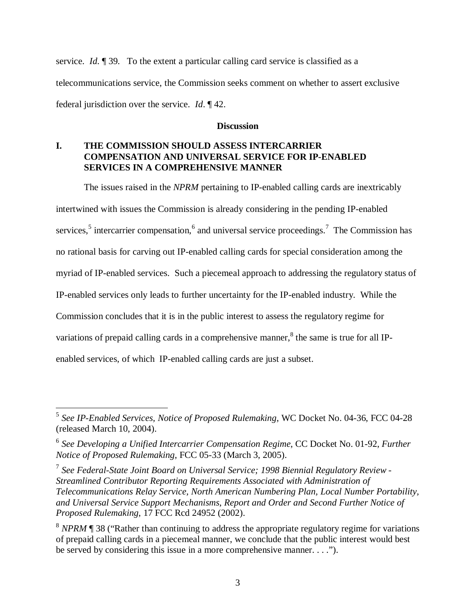service. *Id*. ¶ 39. To the extent a particular calling card service is classified as a telecommunications service, the Commission seeks comment on whether to assert exclusive federal jurisdiction over the service. *Id*. ¶ 42.

## **Discussion**

# **I. THE COMMISSION SHOULD ASSESS INTERCARRIER COMPENSATION AND UNIVERSAL SERVICE FOR IP-ENABLED SERVICES IN A COMPREHENSIVE MANNER**

 The issues raised in the *NPRM* pertaining to IP-enabled calling cards are inextricably intertwined with issues the Commission is already considering in the pending IP-enabled services,<sup>5</sup> intercarrier compensation,<sup>6</sup> and universal service proceedings.<sup>7</sup> The Commission has no rational basis for carving out IP-enabled calling cards for special consideration among the myriad of IP-enabled services. Such a piecemeal approach to addressing the regulatory status of IP-enabled services only leads to further uncertainty for the IP-enabled industry. While the Commission concludes that it is in the public interest to assess the regulatory regime for variations of prepaid calling cards in a comprehensive manner, ${}^{8}$  the same is true for all IPenabled services, of which IP-enabled calling cards are just a subset.

 $\overline{a}$ <sup>5</sup> *See IP-Enabled Services, Notice of Proposed Rulemaking*, WC Docket No. 04-36, FCC 04-28 (released March 10, 2004).

<sup>6</sup> *See Developing a Unified Intercarrier Compensation Regime*, CC Docket No. 01-92, *Further Notice of Proposed Rulemaking*, FCC 05-33 (March 3, 2005).

<sup>7</sup> *See Federal-State Joint Board on Universal Service; 1998 Biennial Regulatory Review - Streamlined Contributor Reporting Requirements Associated with Administration of Telecommunications Relay Service, North American Numbering Plan, Local Number Portability, and Universal Service Support Mechanisms*, *Report and Order and Second Further Notice of Proposed Rulemaking*, 17 FCC Rcd 24952 (2002).

<sup>&</sup>lt;sup>8</sup> *NPRM* **[4** 38 ("Rather than continuing to address the appropriate regulatory regime for variations of prepaid calling cards in a piecemeal manner, we conclude that the public interest would best be served by considering this issue in a more comprehensive manner. . . .").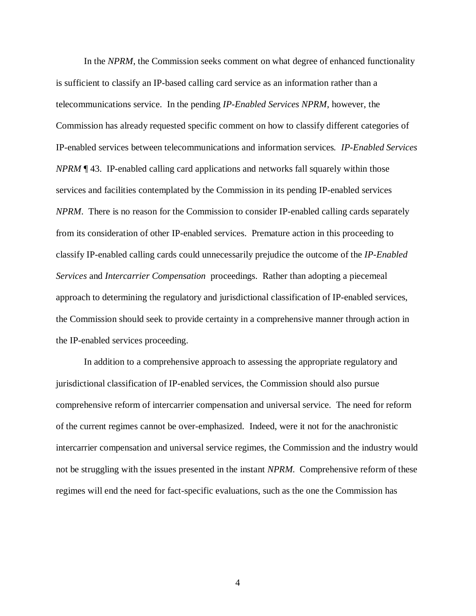In the *NPRM*, the Commission seeks comment on what degree of enhanced functionality is sufficient to classify an IP-based calling card service as an information rather than a telecommunications service. In the pending *IP-Enabled Services NPRM*, however, the Commission has already requested specific comment on how to classify different categories of IP-enabled services between telecommunications and information services*. IP-Enabled Services NPRM* ¶ 43. IP-enabled calling card applications and networks fall squarely within those services and facilities contemplated by the Commission in its pending IP-enabled services *NPRM*. There is no reason for the Commission to consider IP-enabled calling cards separately from its consideration of other IP-enabled services. Premature action in this proceeding to classify IP-enabled calling cards could unnecessarily prejudice the outcome of the *IP-Enabled Services* and *Intercarrier Compensation* proceedings. Rather than adopting a piecemeal approach to determining the regulatory and jurisdictional classification of IP-enabled services, the Commission should seek to provide certainty in a comprehensive manner through action in the IP-enabled services proceeding.

 In addition to a comprehensive approach to assessing the appropriate regulatory and jurisdictional classification of IP-enabled services, the Commission should also pursue comprehensive reform of intercarrier compensation and universal service. The need for reform of the current regimes cannot be over-emphasized. Indeed, were it not for the anachronistic intercarrier compensation and universal service regimes, the Commission and the industry would not be struggling with the issues presented in the instant *NPRM*. Comprehensive reform of these regimes will end the need for fact-specific evaluations, such as the one the Commission has

4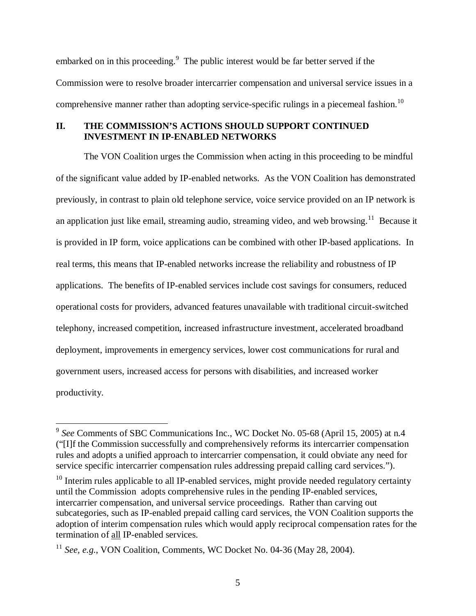embarked on in this proceeding.<sup>9</sup> The public interest would be far better served if the Commission were to resolve broader intercarrier compensation and universal service issues in a comprehensive manner rather than adopting service-specific rulings in a piecemeal fashion.<sup>10</sup>

# **II. THE COMMISSION'S ACTIONS SHOULD SUPPORT CONTINUED INVESTMENT IN IP-ENABLED NETWORKS**

 The VON Coalition urges the Commission when acting in this proceeding to be mindful of the significant value added by IP-enabled networks. As the VON Coalition has demonstrated previously, in contrast to plain old telephone service, voice service provided on an IP network is an application just like email, streaming audio, streaming video, and web browsing.<sup>11</sup> Because it is provided in IP form, voice applications can be combined with other IP-based applications. In real terms, this means that IP-enabled networks increase the reliability and robustness of IP applications. The benefits of IP-enabled services include cost savings for consumers, reduced operational costs for providers, advanced features unavailable with traditional circuit-switched telephony, increased competition, increased infrastructure investment, accelerated broadband deployment, improvements in emergency services, lower cost communications for rural and government users, increased access for persons with disabilities, and increased worker productivity.

 $\overline{a}$ 

<sup>9</sup> *See* Comments of SBC Communications Inc., WC Docket No. 05-68 (April 15, 2005) at n.4 ("[I]f the Commission successfully and comprehensively reforms its intercarrier compensation rules and adopts a unified approach to intercarrier compensation, it could obviate any need for service specific intercarrier compensation rules addressing prepaid calling card services.").

 $10$  Interim rules applicable to all IP-enabled services, might provide needed regulatory certainty until the Commission adopts comprehensive rules in the pending IP-enabled services, intercarrier compensation, and universal service proceedings. Rather than carving out subcategories, such as IP-enabled prepaid calling card services, the VON Coalition supports the adoption of interim compensation rules which would apply reciprocal compensation rates for the termination of all IP-enabled services.

<sup>&</sup>lt;sup>11</sup> *See, e.g.*, VON Coalition, Comments, WC Docket No. 04-36 (May 28, 2004).